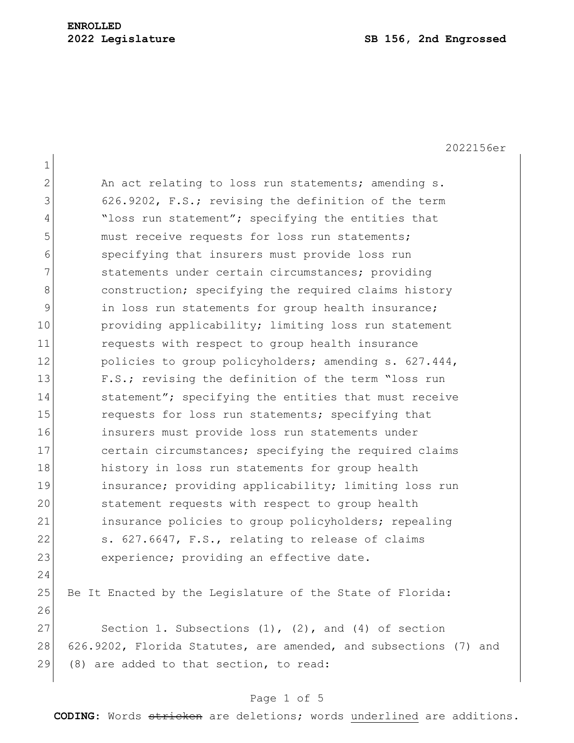2022156er

1 2 An act relating to loss run statements; amending s. 3 626.9202, F.S.; revising the definition of the term 4 "loss run statement"; specifying the entities that 5 must receive requests for loss run statements; 6 specifying that insurers must provide loss run 7 31 statements under certain circumstances; providing 8 construction; specifying the required claims history 9 10 9 100 in loss run statements for group health insurance; 10 providing applicability; limiting loss run statement 11 requests with respect to group health insurance 12 policies to group policyholders; amending s. 627.444, 13 F.S.; revising the definition of the term "loss run 14 statement"; specifying the entities that must receive 15 **15** requests for loss run statements; specifying that 16 insurers must provide loss run statements under 17 certain circumstances; specifying the required claims 18 history in loss run statements for group health 19 insurance; providing applicability; limiting loss run 20 statement requests with respect to group health 21 insurance policies to group policyholders; repealing 22 s. 627.6647, F.S., relating to release of claims 23 experience; providing an effective date. 24 25 Be It Enacted by the Legislature of the State of Florida: 26 27 Section 1. Subsections  $(1)$ ,  $(2)$ , and  $(4)$  of section 28 626.9202, Florida Statutes, are amended, and subsections (7) and 29 (8) are added to that section, to read:

### Page 1 of 5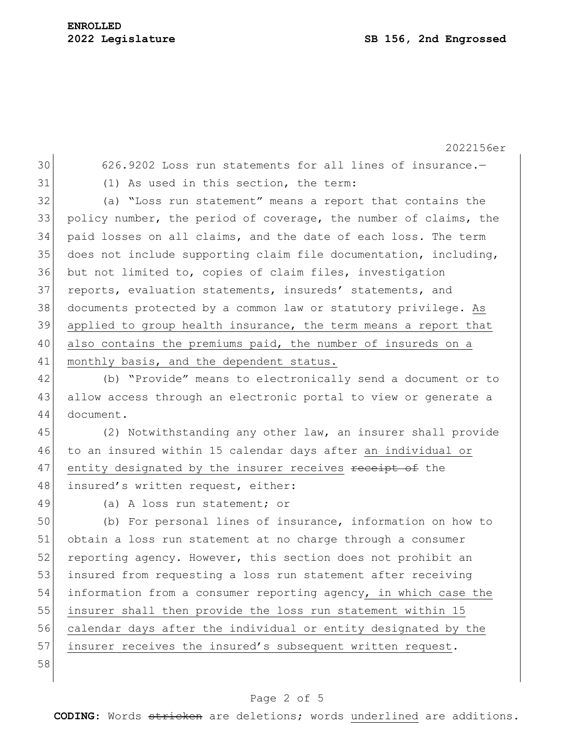2022156er 626.9202 Loss run statements for all lines of insurance.— (1) As used in this section, the term: (a) "Loss run statement" means a report that contains the policy number, the period of coverage, the number of claims, the paid losses on all claims, and the date of each loss. The term does not include supporting claim file documentation, including, but not limited to, copies of claim files, investigation 37 reports, evaluation statements, insureds' statements, and documents protected by a common law or statutory privilege. As applied to group health insurance, the term means a report that 40 also contains the premiums paid, the number of insureds on a 41 monthly basis, and the dependent status. 42 (b) "Provide" means to electronically send a document or to 43 allow access through an electronic portal to view or generate a document. (2) Notwithstanding any other law, an insurer shall provide to an insured within 15 calendar days after an individual or 47 entity designated by the insurer receives receipt of the 48 insured's written request, either: (a) A loss run statement; or (b) For personal lines of insurance, information on how to obtain a loss run statement at no charge through a consumer 52 reporting agency. However, this section does not prohibit an insured from requesting a loss run statement after receiving information from a consumer reporting agency, in which case the insurer shall then provide the loss run statement within 15 calendar days after the individual or entity designated by the 57 insurer receives the insured's subsequent written request. 

### Page 2 of 5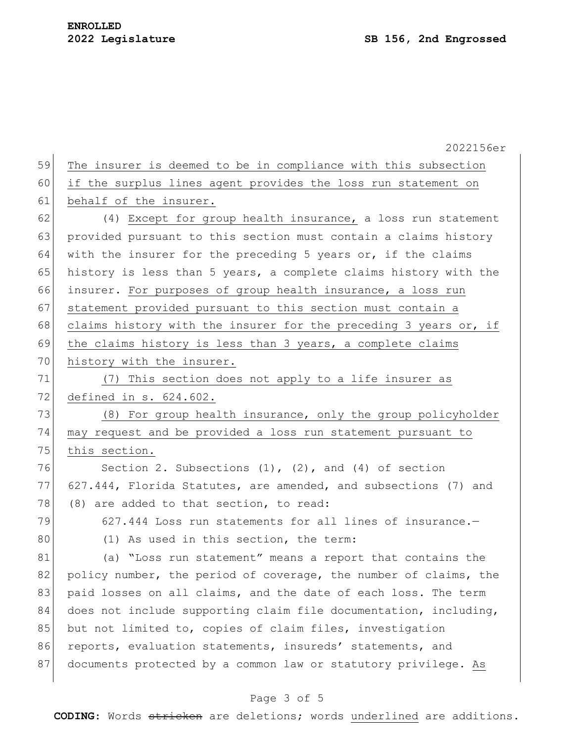|    | 2022156er                                                        |
|----|------------------------------------------------------------------|
| 59 | The insurer is deemed to be in compliance with this subsection   |
| 60 | if the surplus lines agent provides the loss run statement on    |
| 61 | behalf of the insurer.                                           |
| 62 | (4) Except for group health insurance, a loss run statement      |
| 63 | provided pursuant to this section must contain a claims history  |
| 64 | with the insurer for the preceding 5 years or, if the claims     |
| 65 | history is less than 5 years, a complete claims history with the |
| 66 | insurer. For purposes of group health insurance, a loss run      |
| 67 | statement provided pursuant to this section must contain a       |
| 68 | claims history with the insurer for the preceding 3 years or, if |
| 69 | the claims history is less than 3 years, a complete claims       |
| 70 | history with the insurer.                                        |
| 71 | (7) This section does not apply to a life insurer as             |
| 72 | defined in s. 624.602.                                           |
| 73 | (8) For group health insurance, only the group policyholder      |
| 74 | may request and be provided a loss run statement pursuant to     |
| 75 | this section.                                                    |
| 76 | Section 2. Subsections $(1)$ , $(2)$ , and $(4)$ of section      |
| 77 | 627.444, Florida Statutes, are amended, and subsections (7) and  |
| 78 | (8) are added to that section, to read:                          |
| 79 | 627.444 Loss run statements for all lines of insurance.-         |
| 80 | (1) As used in this section, the term:                           |
| 81 | (a) "Loss run statement" means a report that contains the        |
| 82 | policy number, the period of coverage, the number of claims, the |
| 83 | paid losses on all claims, and the date of each loss. The term   |
| 84 | does not include supporting claim file documentation, including, |
| 85 | but not limited to, copies of claim files, investigation         |
| 86 | reports, evaluation statements, insureds' statements, and        |
| 87 | documents protected by a common law or statutory privilege. As   |

## Page 3 of 5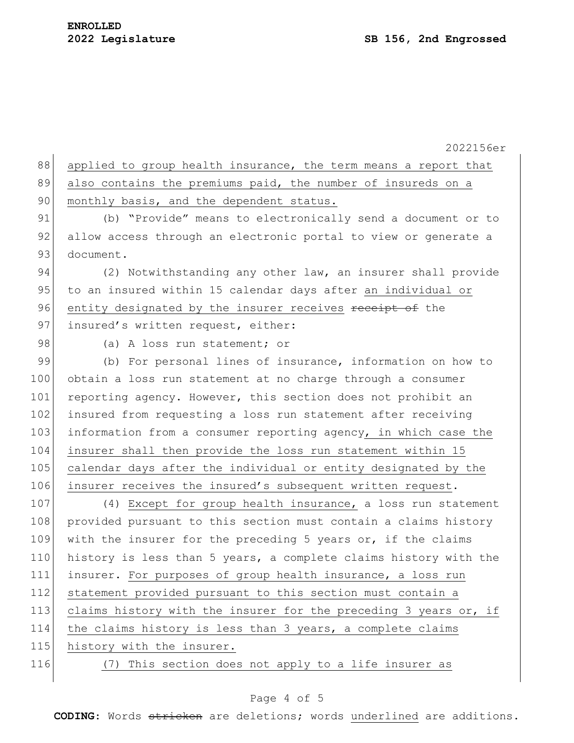2022156er 88 applied to group health insurance, the term means a report that 89 also contains the premiums paid, the number of insureds on a 90 monthly basis, and the dependent status. 91 (b) "Provide" means to electronically send a document or to 92 allow access through an electronic portal to view or generate a 93 document. 94 (2) Notwithstanding any other law, an insurer shall provide 95 to an insured within 15 calendar days after an individual or 96 entity designated by the insurer receives receipt of the 97 insured's written request, either: 98 (a) A loss run statement; or 99 (b) For personal lines of insurance, information on how to 100 obtain a loss run statement at no charge through a consumer 101 reporting agency. However, this section does not prohibit an 102 insured from requesting a loss run statement after receiving 103 information from a consumer reporting agency, in which case the 104 insurer shall then provide the loss run statement within 15 105 calendar days after the individual or entity designated by the 106 insurer receives the insured's subsequent written request. 107 (4) Except for group health insurance, a loss run statement 108 provided pursuant to this section must contain a claims history 109 with the insurer for the preceding 5 years or, if the claims 110 history is less than 5 years, a complete claims history with the 111 insurer. For purposes of group health insurance, a loss run 112 statement provided pursuant to this section must contain a 113 claims history with the insurer for the preceding 3 years or, if 114 the claims history is less than 3 years, a complete claims 115 history with the insurer. 116 (7) This section does not apply to a life insurer as

### Page 4 of 5